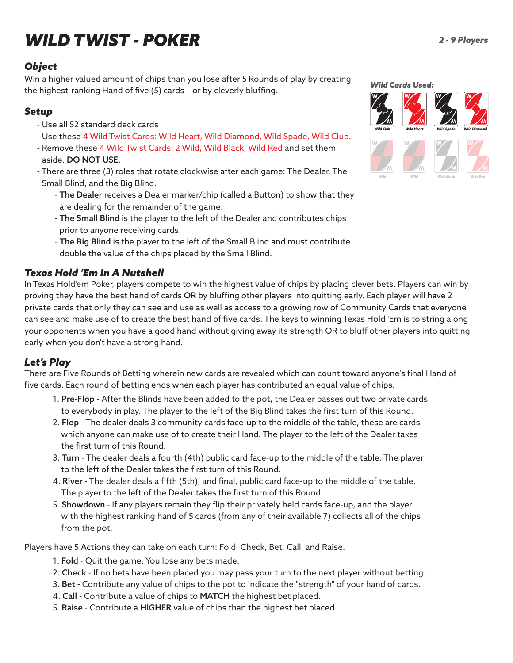# *WILD TWIST - POKER*

#### *Object*

Win a higher valued amount of chips than you lose after 5 Rounds of play by creating the highest-ranking Hand of five (5) cards – or by cleverly bluffing.

#### *Setup*

- Use all 52 standard deck cards
- Use these 4 Wild Twist Cards: Wild Heart, Wild Diamond, Wild Spade, Wild Club.
- Remove these 4 Wild Twist Cards: 2 Wild, Wild Black, Wild Red and set them aside. DO NOT USE.
- There are three (3) roles that rotate clockwise after each game: The Dealer, The Small Blind, and the Big Blind.
	- The Dealer receives a Dealer marker/chip (called a Button) to show that they are dealing for the remainder of the game.
	- The Small Blind is the player to the left of the Dealer and contributes chips prior to anyone receiving cards.
	- The Big Blind is the player to the left of the Small Blind and must contribute double the value of the chips placed by the Small Blind.

## *Texas Hold 'Em In A Nutshell*

In Texas Hold'em Poker, players compete to win the highest value of chips by placing clever bets. Players can win by proving they have the best hand of cards OR by bluffing other players into quitting early. Each player will have 2 private cards that only they can see and use as well as access to a growing row of Community Cards that everyone can see and make use of to create the best hand of five cards. The keys to winning Texas Hold 'Em is to string along your opponents when you have a good hand without giving away its strength OR to bluff other players into quitting early when you don't have a strong hand.

## *Let's Play*

There are Five Rounds of Betting wherein new cards are revealed which can count toward anyone's final Hand of five cards. Each round of betting ends when each player has contributed an equal value of chips.

- 1. Pre-Flop After the Blinds have been added to the pot, the Dealer passes out two private cards to everybody in play. The player to the left of the Big Blind takes the first turn of this Round.
- 2. Flop The dealer deals 3 community cards face-up to the middle of the table, these are cards which anyone can make use of to create their Hand. The player to the left of the Dealer takes the first turn of this Round.
- 3. Turn The dealer deals a fourth (4th) public card face-up to the middle of the table. The player to the left of the Dealer takes the first turn of this Round.
- 4. River The dealer deals a fifth (5th), and final, public card face-up to the middle of the table. The player to the left of the Dealer takes the first turn of this Round.
- 5. Showdown If any players remain they flip their privately held cards face-up, and the player with the highest ranking hand of 5 cards (from any of their available 7) collects all of the chips from the pot.

Players have 5 Actions they can take on each turn: Fold, Check, Bet, Call, and Raise.

- 1. Fold Quit the game. You lose any bets made.
- 2. Check If no bets have been placed you may pass your turn to the next player without betting.
- 3. Bet Contribute any value of chips to the pot to indicate the "strength" of your hand of cards.
- 4. Call Contribute a value of chips to MATCH the highest bet placed.
- 5. Raise Contribute a HIGHER value of chips than the highest bet placed.